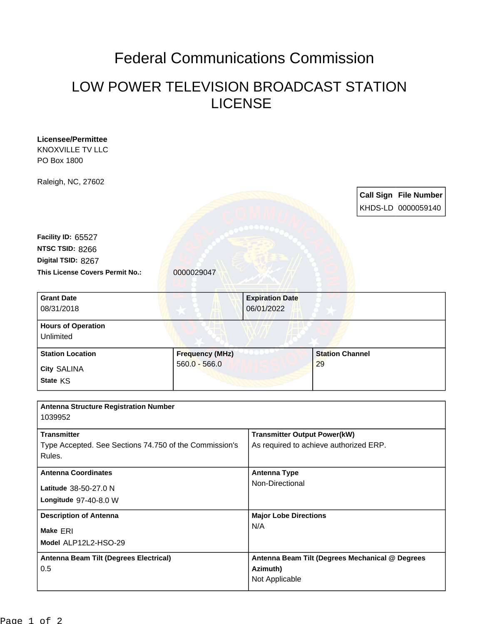## Federal Communications Commission

## LOW POWER TELEVISION BROADCAST STATION LICENSE

| <b>Licensee/Permittee</b>                              |                        |                                                             |                |  |                              |  |
|--------------------------------------------------------|------------------------|-------------------------------------------------------------|----------------|--|------------------------------|--|
| <b>KNOXVILLE TV LLC</b><br>PO Box 1800                 |                        |                                                             |                |  |                              |  |
|                                                        |                        |                                                             |                |  |                              |  |
| Raleigh, NC, 27602                                     |                        |                                                             |                |  |                              |  |
|                                                        |                        |                                                             |                |  | <b>Call Sign File Number</b> |  |
|                                                        |                        |                                                             |                |  | KHDS-LD 0000059140           |  |
|                                                        |                        |                                                             |                |  |                              |  |
| Facility ID: 65527                                     |                        |                                                             |                |  |                              |  |
| NTSC TSID: 8266                                        |                        |                                                             |                |  |                              |  |
| Digital TSID: 8267                                     |                        |                                                             |                |  |                              |  |
| This License Covers Permit No.:                        | 0000029047             |                                                             |                |  |                              |  |
|                                                        |                        |                                                             |                |  |                              |  |
| <b>Grant Date</b>                                      |                        | <b>Expiration Date</b>                                      |                |  |                              |  |
| 08/31/2018                                             |                        | 06/01/2022                                                  |                |  |                              |  |
| <b>Hours of Operation</b>                              |                        |                                                             |                |  |                              |  |
| Unlimited                                              |                        |                                                             |                |  |                              |  |
| <b>Station Location</b>                                | <b>Frequency (MHz)</b> | <b>Station Channel</b>                                      |                |  |                              |  |
| <b>City SALINA</b>                                     | $560.0 - 566.0$        |                                                             | 29             |  |                              |  |
| State KS                                               |                        |                                                             |                |  |                              |  |
|                                                        |                        |                                                             |                |  |                              |  |
| <b>Antenna Structure Registration Number</b>           |                        |                                                             |                |  |                              |  |
| 1039952                                                |                        |                                                             |                |  |                              |  |
| <b>Transmitter</b>                                     |                        | <b>Transmitter Output Power(kW)</b>                         |                |  |                              |  |
| Type Accepted. See Sections 74.750 of the Commission's |                        | As required to achieve authorized ERP.                      |                |  |                              |  |
| Rules.                                                 |                        |                                                             |                |  |                              |  |
| <b>Antenna Coordinates</b><br>Latitude 38-50-27.0 N    |                        | <b>Antenna Type</b>                                         |                |  |                              |  |
|                                                        |                        | Non-Directional                                             |                |  |                              |  |
| Longitude 97-40-8.0 W                                  |                        |                                                             |                |  |                              |  |
| <b>Description of Antenna</b>                          |                        | <b>Major Lobe Directions</b>                                |                |  |                              |  |
|                                                        |                        | N/A                                                         |                |  |                              |  |
| Make ERI<br>Model ALP12L2-HSO-29                       |                        |                                                             |                |  |                              |  |
|                                                        |                        |                                                             |                |  |                              |  |
| <b>Antenna Beam Tilt (Degrees Electrical)</b><br>0.5   |                        | Antenna Beam Tilt (Degrees Mechanical @ Degrees<br>Azimuth) |                |  |                              |  |
|                                                        |                        |                                                             | Not Applicable |  |                              |  |
|                                                        |                        |                                                             |                |  |                              |  |